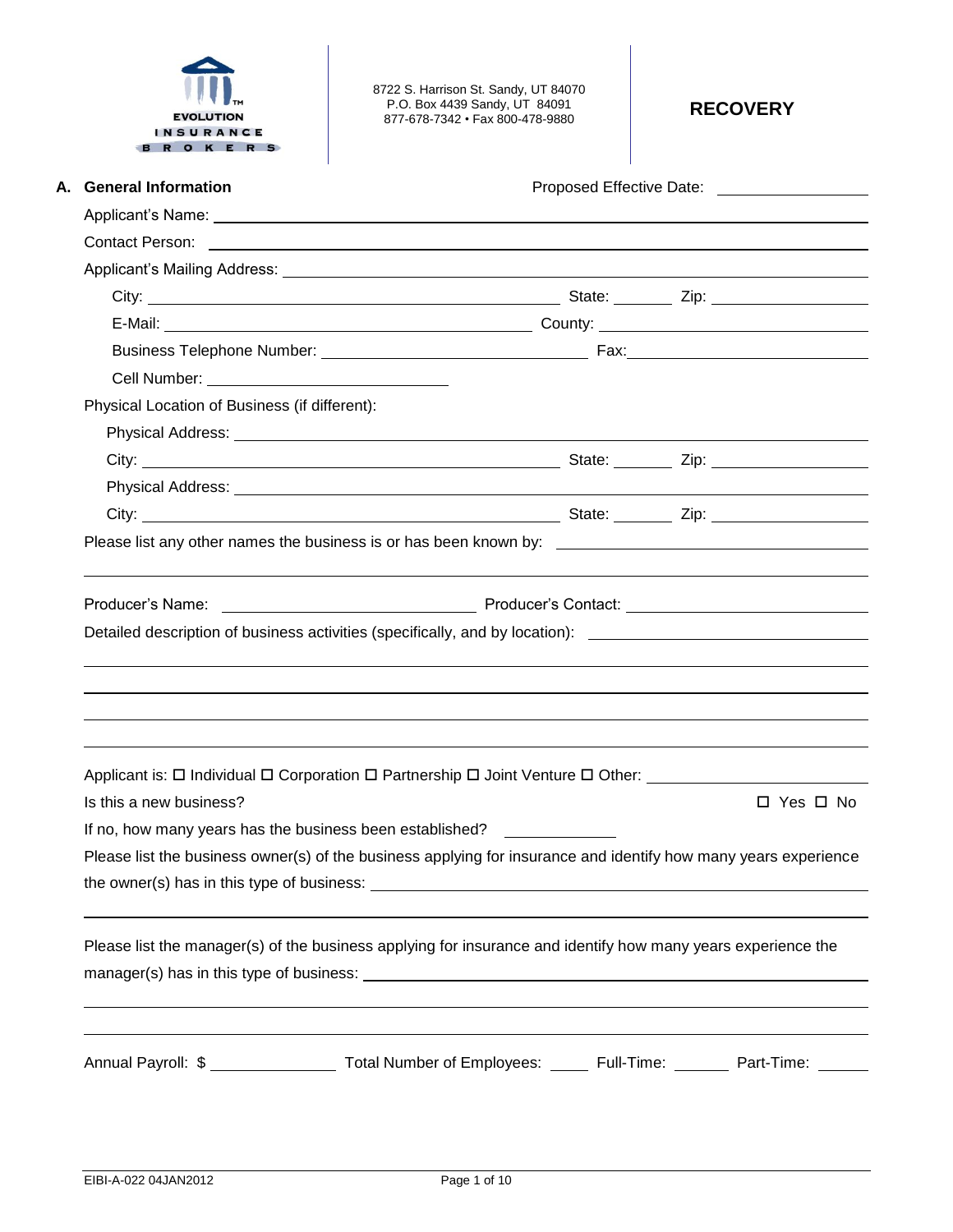

8722 S. Harrison St. Sandy, UT 84070 P.O. Box 4439 Sandy, UT 84091 877-678-7342 • Fax 800-478-9880 **RECOVERY**

| A. General Information                        | Proposed Effective Date: ____________________                                                                   |
|-----------------------------------------------|-----------------------------------------------------------------------------------------------------------------|
|                                               |                                                                                                                 |
|                                               |                                                                                                                 |
|                                               |                                                                                                                 |
|                                               |                                                                                                                 |
|                                               |                                                                                                                 |
|                                               |                                                                                                                 |
|                                               |                                                                                                                 |
| Physical Location of Business (if different): |                                                                                                                 |
|                                               |                                                                                                                 |
|                                               |                                                                                                                 |
|                                               |                                                                                                                 |
|                                               |                                                                                                                 |
|                                               |                                                                                                                 |
|                                               |                                                                                                                 |
|                                               |                                                                                                                 |
|                                               | Detailed description of business activities (specifically, and by location): ________________________________   |
|                                               |                                                                                                                 |
|                                               |                                                                                                                 |
|                                               |                                                                                                                 |
|                                               |                                                                                                                 |
|                                               | Applicant is: □ Individual □ Corporation □ Partnership □ Joint Venture □ Other: ___________________             |
| Is this a new business?                       | $\Box$ Yes $\Box$ No                                                                                            |
|                                               | If no, how many years has the business been established? _______________________                                |
|                                               | Please list the business owner(s) of the business applying for insurance and identify how many years experience |
|                                               |                                                                                                                 |
|                                               |                                                                                                                 |
|                                               | Please list the manager(s) of the business applying for insurance and identify how many years experience the    |
|                                               |                                                                                                                 |
|                                               |                                                                                                                 |
|                                               |                                                                                                                 |
|                                               | Annual Payroll: \$ ____________________ Total Number of Employees: ______ Full-Time: _______ Part-Time: ______  |
|                                               |                                                                                                                 |
|                                               |                                                                                                                 |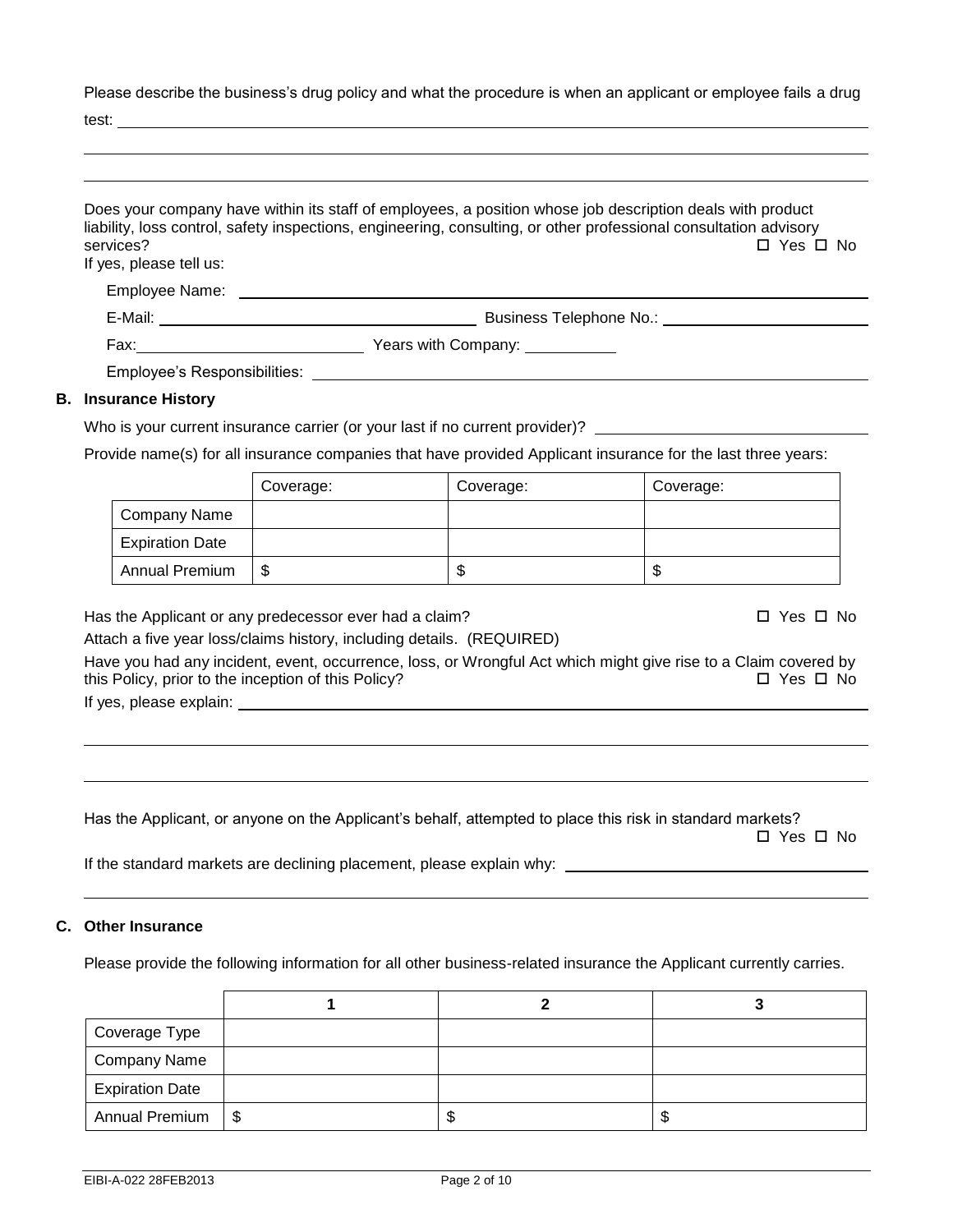Please describe the business's drug policy and what the procedure is when an applicant or employee fails a drug

test:

| services?<br>If yes, please tell us:                                                                          |                |                                                                       | liability, loss control, safety inspections, engineering, consulting, or other professional consultation advisory<br>□ Yes □ No                       |
|---------------------------------------------------------------------------------------------------------------|----------------|-----------------------------------------------------------------------|-------------------------------------------------------------------------------------------------------------------------------------------------------|
|                                                                                                               |                |                                                                       |                                                                                                                                                       |
|                                                                                                               |                |                                                                       |                                                                                                                                                       |
|                                                                                                               |                |                                                                       |                                                                                                                                                       |
|                                                                                                               |                | Employee's Responsibilities: <b>Employee's</b> Responsibilities:      |                                                                                                                                                       |
| <b>B.</b> Insurance History                                                                                   |                |                                                                       |                                                                                                                                                       |
|                                                                                                               |                |                                                                       | Who is your current insurance carrier (or your last if no current provider)?                                                                          |
|                                                                                                               |                |                                                                       | Provide name(s) for all insurance companies that have provided Applicant insurance for the last three years:                                          |
|                                                                                                               | Coverage:      | Coverage:                                                             | Coverage:                                                                                                                                             |
| Company Name                                                                                                  |                |                                                                       |                                                                                                                                                       |
| <b>Expiration Date</b>                                                                                        |                |                                                                       |                                                                                                                                                       |
|                                                                                                               |                | $\mathbb{S}$                                                          | $\mathfrak{S}$                                                                                                                                        |
| Annual Premium                                                                                                | $\mathfrak{S}$ |                                                                       |                                                                                                                                                       |
| Has the Applicant or any predecessor ever had a claim?<br>this Policy, prior to the inception of this Policy? |                | Attach a five year loss/claims history, including details. (REQUIRED) | $\Box$ Yes $\Box$ No<br>Have you had any incident, event, occurrence, loss, or Wrongful Act which might give rise to a Claim covered by<br>□ Yes □ No |

Has the Applicant, or anyone on the Applicant's behalf, attempted to place this risk in standard markets? □ Yes □ No

If the standard markets are declining placement, please explain why:

# **C. Other Insurance**

Please provide the following information for all other business-related insurance the Applicant currently carries.

| Coverage Type          |  |    |
|------------------------|--|----|
| Company Name           |  |    |
| <b>Expiration Date</b> |  |    |
| Annual Premium   \$    |  | ۰D |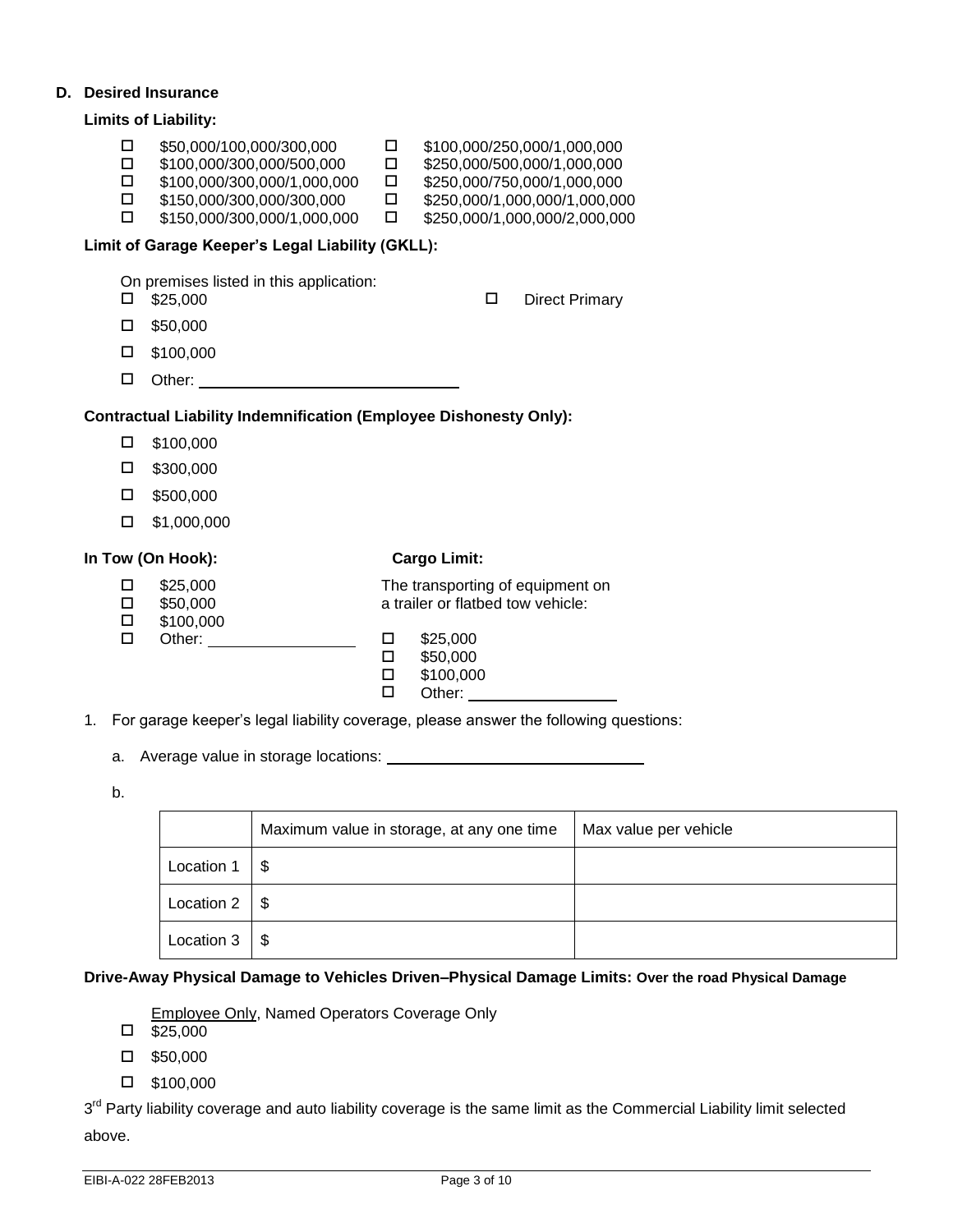### **D. Desired Insurance**

|                                      | <b>Limits of Liability:</b>                                                                                                                                                                                              |                                                |                                                                                                                                                             |
|--------------------------------------|--------------------------------------------------------------------------------------------------------------------------------------------------------------------------------------------------------------------------|------------------------------------------------|-------------------------------------------------------------------------------------------------------------------------------------------------------------|
| 0<br>$\Box$<br>$\Box$<br>$\Box$<br>П | \$50,000/100,000/300,000<br>\$100,000/300,000/500,000<br>\$100,000/300,000/1,000,000<br>\$150,000/300,000/300,000<br>\$150,000/300,000/1,000,000                                                                         | $\Box$<br>$\Box$<br>$\Box$<br>$\Box$<br>$\Box$ | \$100,000/250,000/1,000,000<br>\$250,000/500,000/1,000,000<br>\$250,000/750,000/1,000,000<br>\$250,000/1,000,000/1,000,000<br>\$250,000/1,000,000/2,000,000 |
|                                      | Limit of Garage Keeper's Legal Liability (GKLL):                                                                                                                                                                         |                                                |                                                                                                                                                             |
| □<br>□<br>□<br>□<br>□                | On premises listed in this application:<br>\$25,000<br>\$50,000<br>\$100,000<br>Other: <u>_________________________________</u><br><b>Contractual Liability Indemnification (Employee Dishonesty Only):</b><br>\$100,000 |                                                | □<br><b>Direct Primary</b>                                                                                                                                  |
| □                                    | \$300,000                                                                                                                                                                                                                |                                                |                                                                                                                                                             |
| □<br>□                               | \$500,000<br>\$1,000,000                                                                                                                                                                                                 |                                                |                                                                                                                                                             |
|                                      | In Tow (On Hook):                                                                                                                                                                                                        |                                                | <b>Cargo Limit:</b>                                                                                                                                         |
| □<br>$\Box$<br>$\Box$<br>□           | \$25,000<br>\$50,000<br>\$100,000<br>Other: <u>with the state of the state of</u>                                                                                                                                        | □<br>□<br>□<br>П                               | The transporting of equipment on<br>a trailer or flatbed tow vehicle:<br>\$25,000<br>\$50,000<br>\$100,000<br>Other:                                        |

- 1. For garage keeper's legal liability coverage, please answer the following questions:
	- a. Average value in storage locations:
	- b.

|                      | Maximum value in storage, at any one time | Max value per vehicle |
|----------------------|-------------------------------------------|-----------------------|
| Location 1           | S                                         |                       |
| Location $2 \mid$ \$ |                                           |                       |
| Location 3           | \$                                        |                       |

# **Drive-Away Physical Damage to Vehicles Driven–Physical Damage Limits: Over the road Physical Damage**

Employee Only, Named Operators Coverage Only

- $\square$  \$25,000
- $\square$  \$50,000
- \$100,000

3<sup>rd</sup> Party liability coverage and auto liability coverage is the same limit as the Commercial Liability limit selected above.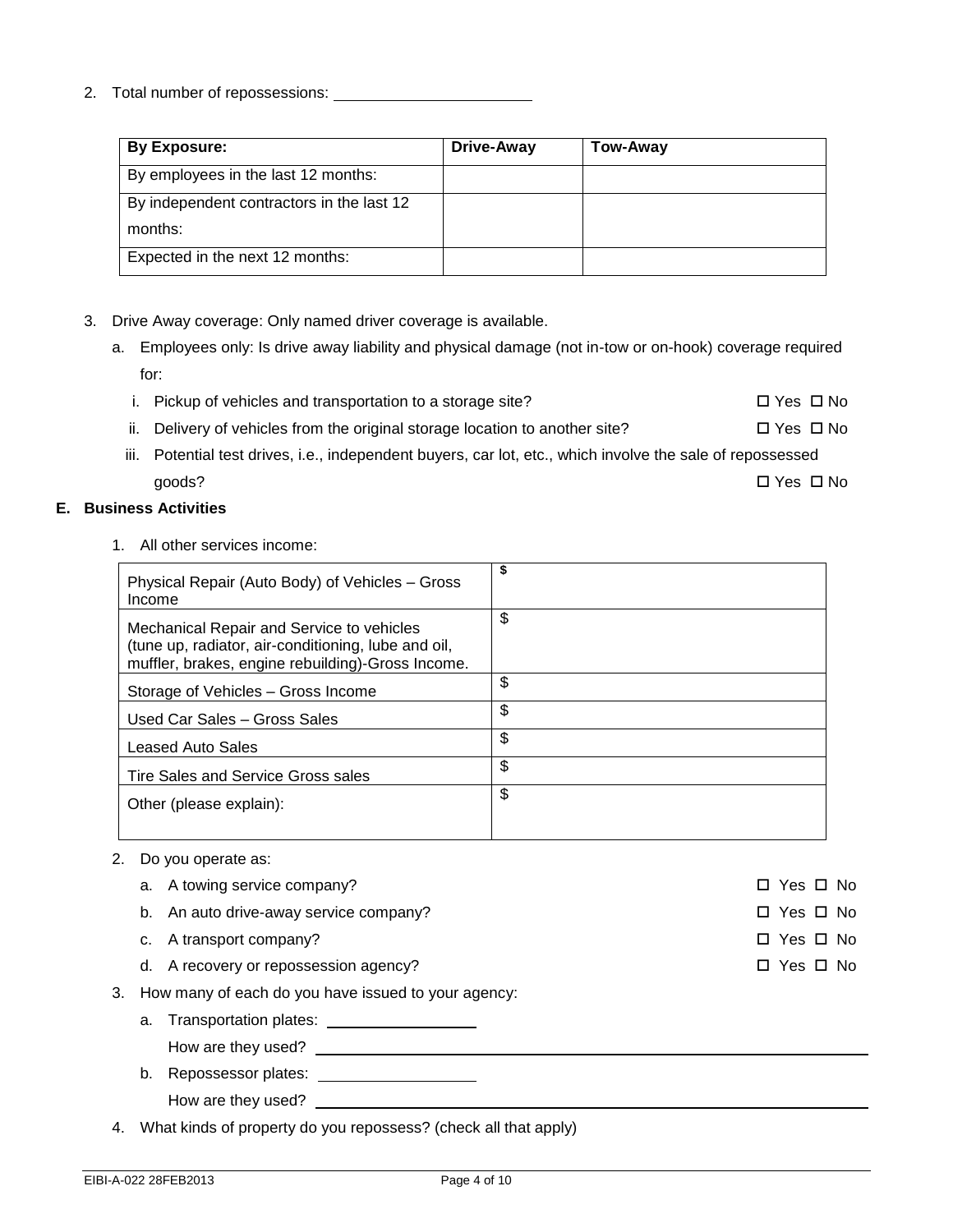2. Total number of repossessions:

| By Exposure:                              | <b>Drive-Away</b> | Tow-Away |
|-------------------------------------------|-------------------|----------|
| By employees in the last 12 months:       |                   |          |
| By independent contractors in the last 12 |                   |          |
| months:                                   |                   |          |
| Expected in the next 12 months:           |                   |          |

# 3. Drive Away coverage: Only named driver coverage is available.

- a. Employees only: Is drive away liability and physical damage (not in-tow or on-hook) coverage required for:
	- i. Pickup of vehicles and transportation to a storage site?  $\square$  Yes  $\square$  No
	- ii. Delivery of vehicles from the original storage location to another site?  $\square$  Yes  $\square$  No
	- iii. Potential test drives, i.e., independent buyers, car lot, etc., which involve the sale of repossessed  $\Box$  Yes  $\Box$  No goods?

### **E. Business Activities**

1. All other services income:

| Physical Repair (Auto Body) of Vehicles - Gross<br>Income                                                                                             | \$ |
|-------------------------------------------------------------------------------------------------------------------------------------------------------|----|
| Mechanical Repair and Service to vehicles<br>(tune up, radiator, air-conditioning, lube and oil,<br>muffler, brakes, engine rebuilding)-Gross Income. | \$ |
| Storage of Vehicles – Gross Income                                                                                                                    | \$ |
| Used Car Sales - Gross Sales                                                                                                                          | \$ |
| Leased Auto Sales                                                                                                                                     | \$ |
| Tire Sales and Service Gross sales                                                                                                                    | \$ |
| Other (please explain):                                                                                                                               | \$ |

### 2. Do you operate as:

- a. A towing service company?  $\Box$  Yes  $\Box$  No b. An auto drive-away service company?  $\square$  Yes  $\square$  Yes  $\square$  No c. A transport company?  $\Box$  Yes  $\Box$  No d. A recovery or repossession agency? 
<br>
■ Yes □ No 3. How many of each do you have issued to your agency:
- - a. Transportation plates:
		- How are they used?
	- b. Repossessor plates: How are they used?

4. What kinds of property do you repossess? (check all that apply)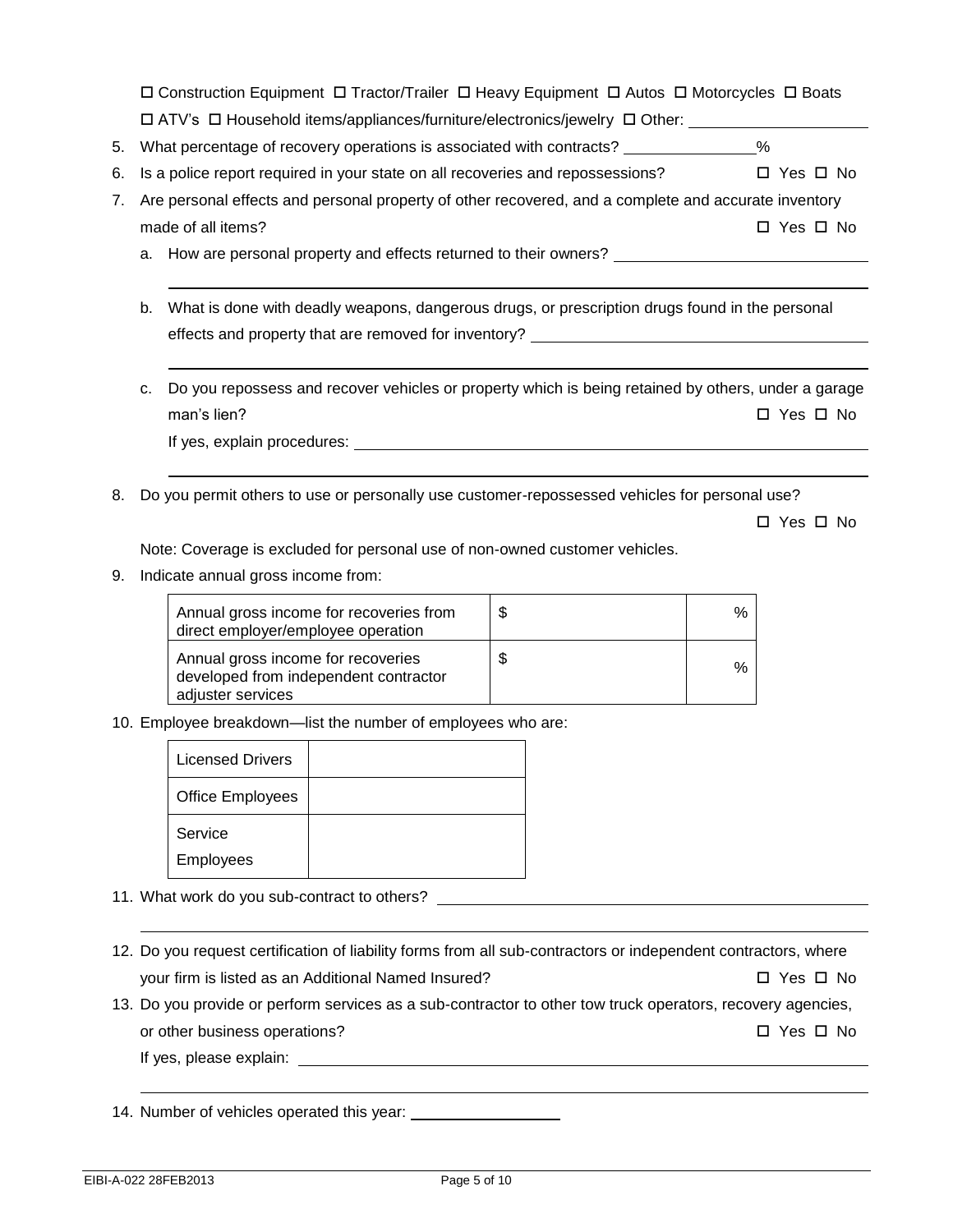Construction Equipment Tractor/Trailer Heavy Equipment Autos Motorcycles Boats  $\Box$  ATV's  $\Box$  Household items/appliances/furniture/electronics/jewelry  $\Box$  Other:

| 5. What percentage of recovery operations is associated with contracts? |  |
|-------------------------------------------------------------------------|--|
|                                                                         |  |

- 6. Is a police report required in your state on all recoveries and repossessions?  $\square$  Yes  $\square$  No
- 7. Are personal effects and personal property of other recovered, and a complete and accurate inventory made of all items?  $\Box$  Yes  $\Box$  No

a. How are personal property and effects returned to their owners?

- b. What is done with deadly weapons, dangerous drugs, or prescription drugs found in the personal effects and property that are removed for inventory?
- c. Do you repossess and recover vehicles or property which is being retained by others, under a garage man's lien?  $\Box$  Yes  $\Box$  No.

If yes, explain procedures:

8. Do you permit others to use or personally use customer-repossessed vehicles for personal use?

□ Yes □ No

Note: Coverage is excluded for personal use of non-owned customer vehicles.

9. Indicate annual gross income from:

| Annual gross income for recoveries from<br>direct employer/employee operation                    | S  | $\%$ |
|--------------------------------------------------------------------------------------------------|----|------|
| Annual gross income for recoveries<br>developed from independent contractor<br>adjuster services | \$ | %    |

10. Employee breakdown—list the number of employees who are:

| <b>Licensed Drivers</b> |  |
|-------------------------|--|
| <b>Office Employees</b> |  |
| Service                 |  |
| <b>Employees</b>        |  |

11. What work do you sub-contract to others?

- 12. Do you request certification of liability forms from all sub-contractors or independent contractors, where your firm is listed as an Additional Named Insured?  $\Box$  Yes  $\Box$  No
- 13. Do you provide or perform services as a sub-contractor to other tow truck operators, recovery agencies, or other business operations?  $\Box$  Yes  $\Box$  No

If yes, please explain:

14. Number of vehicles operated this year: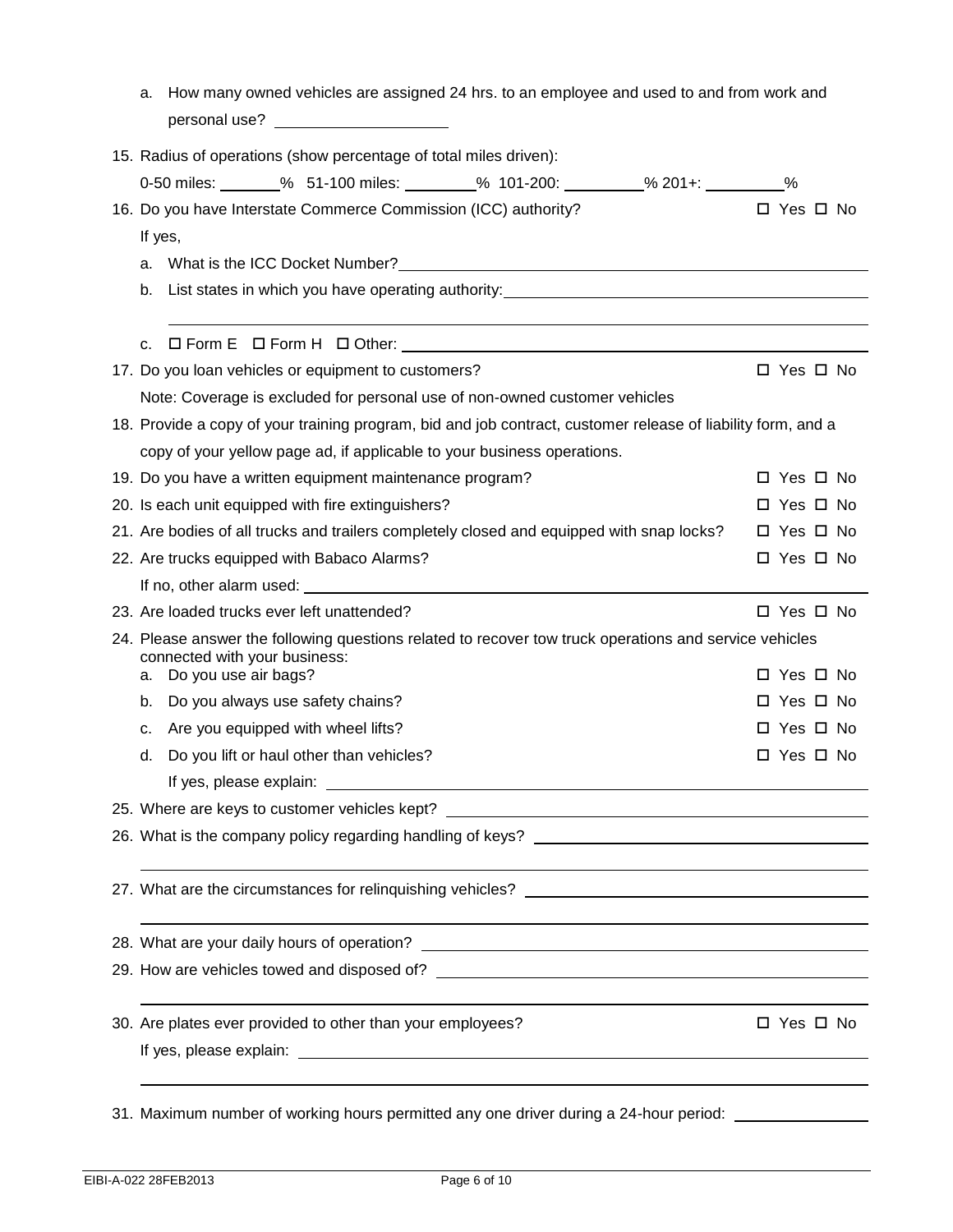| a.                                                                                                                                      | How many owned vehicles are assigned 24 hrs. to an employee and used to and from work and                                                                           |                      |  |  |
|-----------------------------------------------------------------------------------------------------------------------------------------|---------------------------------------------------------------------------------------------------------------------------------------------------------------------|----------------------|--|--|
|                                                                                                                                         | 15. Radius of operations (show percentage of total miles driven):                                                                                                   |                      |  |  |
|                                                                                                                                         | 0-50 miles: _______% 51-100 miles: ________% 101-200: _________% 201+: _________%                                                                                   |                      |  |  |
|                                                                                                                                         | 16. Do you have Interstate Commerce Commission (ICC) authority?                                                                                                     | □ Yes □ No           |  |  |
|                                                                                                                                         | If yes,                                                                                                                                                             |                      |  |  |
|                                                                                                                                         | a. What is the ICC Docket Number? Manual Content of the UCC Docket Number 2014 10:00 AM and the UCC Docket Number 2014                                              |                      |  |  |
| b.                                                                                                                                      | List states in which you have operating authority:_______________________________                                                                                   |                      |  |  |
|                                                                                                                                         |                                                                                                                                                                     |                      |  |  |
| C.                                                                                                                                      |                                                                                                                                                                     |                      |  |  |
|                                                                                                                                         | 17. Do you loan vehicles or equipment to customers?                                                                                                                 | $\Box$ Yes $\Box$ No |  |  |
|                                                                                                                                         | Note: Coverage is excluded for personal use of non-owned customer vehicles                                                                                          |                      |  |  |
|                                                                                                                                         | 18. Provide a copy of your training program, bid and job contract, customer release of liability form, and a                                                        |                      |  |  |
|                                                                                                                                         | copy of your yellow page ad, if applicable to your business operations.                                                                                             |                      |  |  |
|                                                                                                                                         | 19. Do you have a written equipment maintenance program?                                                                                                            | □ Yes □ No           |  |  |
|                                                                                                                                         | 20. Is each unit equipped with fire extinguishers?                                                                                                                  | $\Box$ Yes $\Box$ No |  |  |
|                                                                                                                                         | 21. Are bodies of all trucks and trailers completely closed and equipped with snap locks?                                                                           | $\Box$ Yes $\Box$ No |  |  |
|                                                                                                                                         | 22. Are trucks equipped with Babaco Alarms?                                                                                                                         | □ Yes □ No           |  |  |
|                                                                                                                                         |                                                                                                                                                                     |                      |  |  |
|                                                                                                                                         | 23. Are loaded trucks ever left unattended?                                                                                                                         | $\Box$ Yes $\Box$ No |  |  |
| 24. Please answer the following questions related to recover tow truck operations and service vehicles<br>connected with your business: |                                                                                                                                                                     |                      |  |  |
|                                                                                                                                         | a. Do you use air bags?                                                                                                                                             | $\Box$ Yes $\Box$ No |  |  |
| b.                                                                                                                                      | Do you always use safety chains?                                                                                                                                    | □ Yes □ No           |  |  |
| с.                                                                                                                                      | Are you equipped with wheel lifts?                                                                                                                                  | $\Box$ Yes $\Box$ No |  |  |
| d.                                                                                                                                      | Do you lift or haul other than vehicles?                                                                                                                            | □ Yes □ No           |  |  |
|                                                                                                                                         |                                                                                                                                                                     |                      |  |  |
|                                                                                                                                         | 25. Where are keys to customer vehicles kept? __________________________________                                                                                    |                      |  |  |
|                                                                                                                                         |                                                                                                                                                                     |                      |  |  |
|                                                                                                                                         |                                                                                                                                                                     |                      |  |  |
|                                                                                                                                         | 28. What are your daily hours of operation?<br><u> Alexandria de la contrada de la contrada de la contrada de la contrada de la contrada de la contrada de la c</u> |                      |  |  |
|                                                                                                                                         |                                                                                                                                                                     |                      |  |  |
|                                                                                                                                         |                                                                                                                                                                     |                      |  |  |
|                                                                                                                                         | 30. Are plates ever provided to other than your employees?                                                                                                          | □ Yes □ No           |  |  |
|                                                                                                                                         |                                                                                                                                                                     |                      |  |  |
|                                                                                                                                         |                                                                                                                                                                     |                      |  |  |

31. Maximum number of working hours permitted any one driver during a 24-hour period: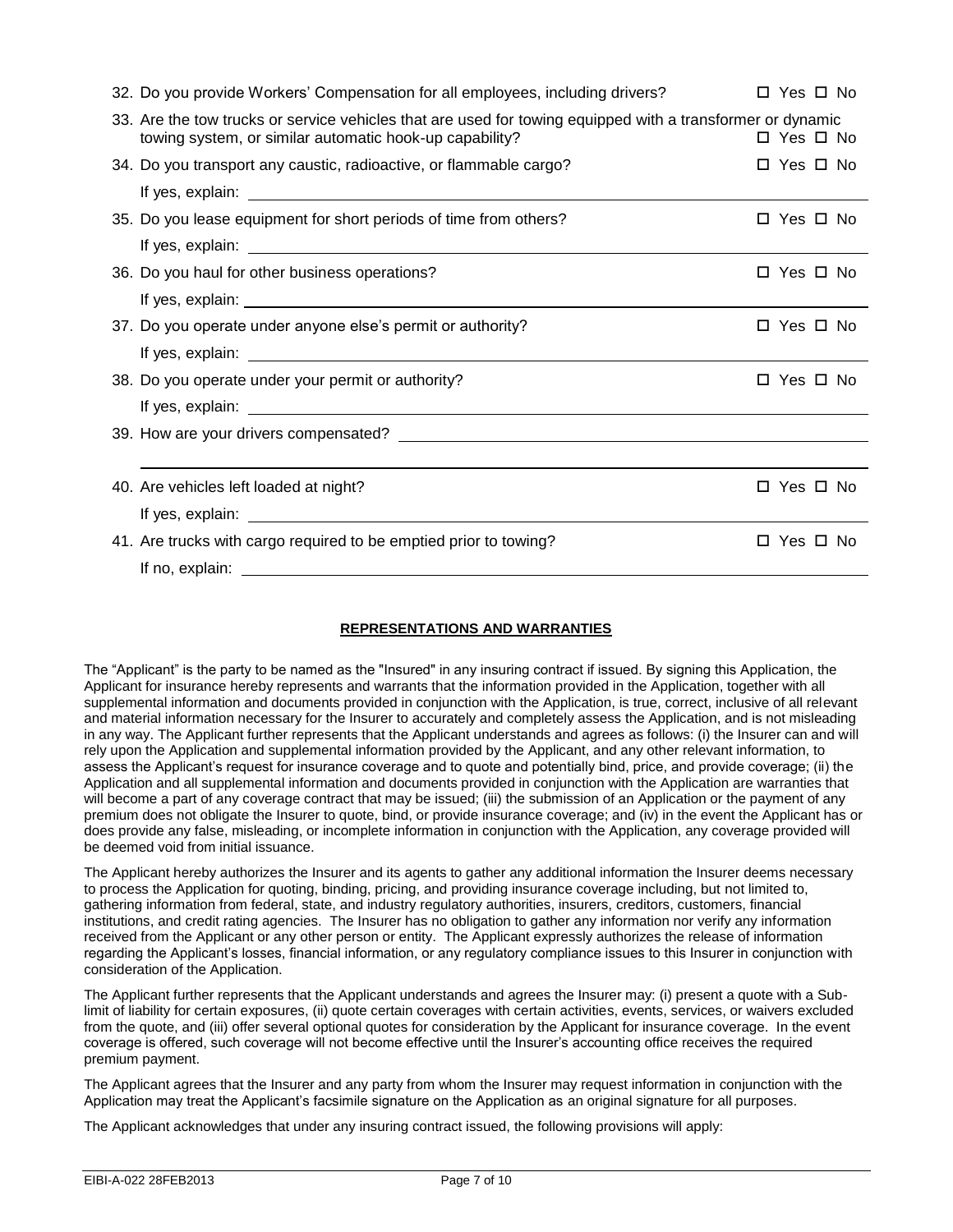| 32. Do you provide Workers' Compensation for all employees, including drivers?                                                                                        | $\Box$ Yes $\Box$ No |
|-----------------------------------------------------------------------------------------------------------------------------------------------------------------------|----------------------|
| 33. Are the tow trucks or service vehicles that are used for towing equipped with a transformer or dynamic<br>towing system, or similar automatic hook-up capability? | □ Yes □ No           |
| 34. Do you transport any caustic, radioactive, or flammable cargo?                                                                                                    | □ Yes □ No           |
|                                                                                                                                                                       |                      |
| 35. Do you lease equipment for short periods of time from others?                                                                                                     | □ Yes □ No           |
|                                                                                                                                                                       |                      |
| 36. Do you haul for other business operations?                                                                                                                        | □ Yes □ No           |
|                                                                                                                                                                       |                      |
| 37. Do you operate under anyone else's permit or authority?                                                                                                           | □ Yes □ No           |
|                                                                                                                                                                       |                      |
| 38. Do you operate under your permit or authority?                                                                                                                    | □ Yes □ No           |
|                                                                                                                                                                       |                      |
|                                                                                                                                                                       |                      |
|                                                                                                                                                                       |                      |
| 40. Are vehicles left loaded at night?                                                                                                                                | □ Yes □ No           |
|                                                                                                                                                                       |                      |
| 41. Are trucks with cargo required to be emptied prior to towing?                                                                                                     | □ Yes □ No           |
|                                                                                                                                                                       |                      |

### **REPRESENTATIONS AND WARRANTIES**

The "Applicant" is the party to be named as the "Insured" in any insuring contract if issued. By signing this Application, the Applicant for insurance hereby represents and warrants that the information provided in the Application, together with all supplemental information and documents provided in conjunction with the Application, is true, correct, inclusive of all relevant and material information necessary for the Insurer to accurately and completely assess the Application, and is not misleading in any way. The Applicant further represents that the Applicant understands and agrees as follows: (i) the Insurer can and will rely upon the Application and supplemental information provided by the Applicant, and any other relevant information, to assess the Applicant's request for insurance coverage and to quote and potentially bind, price, and provide coverage; (ii) the Application and all supplemental information and documents provided in conjunction with the Application are warranties that will become a part of any coverage contract that may be issued; (iii) the submission of an Application or the payment of any premium does not obligate the Insurer to quote, bind, or provide insurance coverage; and (iv) in the event the Applicant has or does provide any false, misleading, or incomplete information in conjunction with the Application, any coverage provided will be deemed void from initial issuance.

The Applicant hereby authorizes the Insurer and its agents to gather any additional information the Insurer deems necessary to process the Application for quoting, binding, pricing, and providing insurance coverage including, but not limited to, gathering information from federal, state, and industry regulatory authorities, insurers, creditors, customers, financial institutions, and credit rating agencies. The Insurer has no obligation to gather any information nor verify any information received from the Applicant or any other person or entity. The Applicant expressly authorizes the release of information regarding the Applicant's losses, financial information, or any regulatory compliance issues to this Insurer in conjunction with consideration of the Application.

The Applicant further represents that the Applicant understands and agrees the Insurer may: (i) present a quote with a Sublimit of liability for certain exposures, (ii) quote certain coverages with certain activities, events, services, or waivers excluded from the quote, and (iii) offer several optional quotes for consideration by the Applicant for insurance coverage. In the event coverage is offered, such coverage will not become effective until the Insurer's accounting office receives the required premium payment.

The Applicant agrees that the Insurer and any party from whom the Insurer may request information in conjunction with the Application may treat the Applicant's facsimile signature on the Application as an original signature for all purposes.

The Applicant acknowledges that under any insuring contract issued, the following provisions will apply: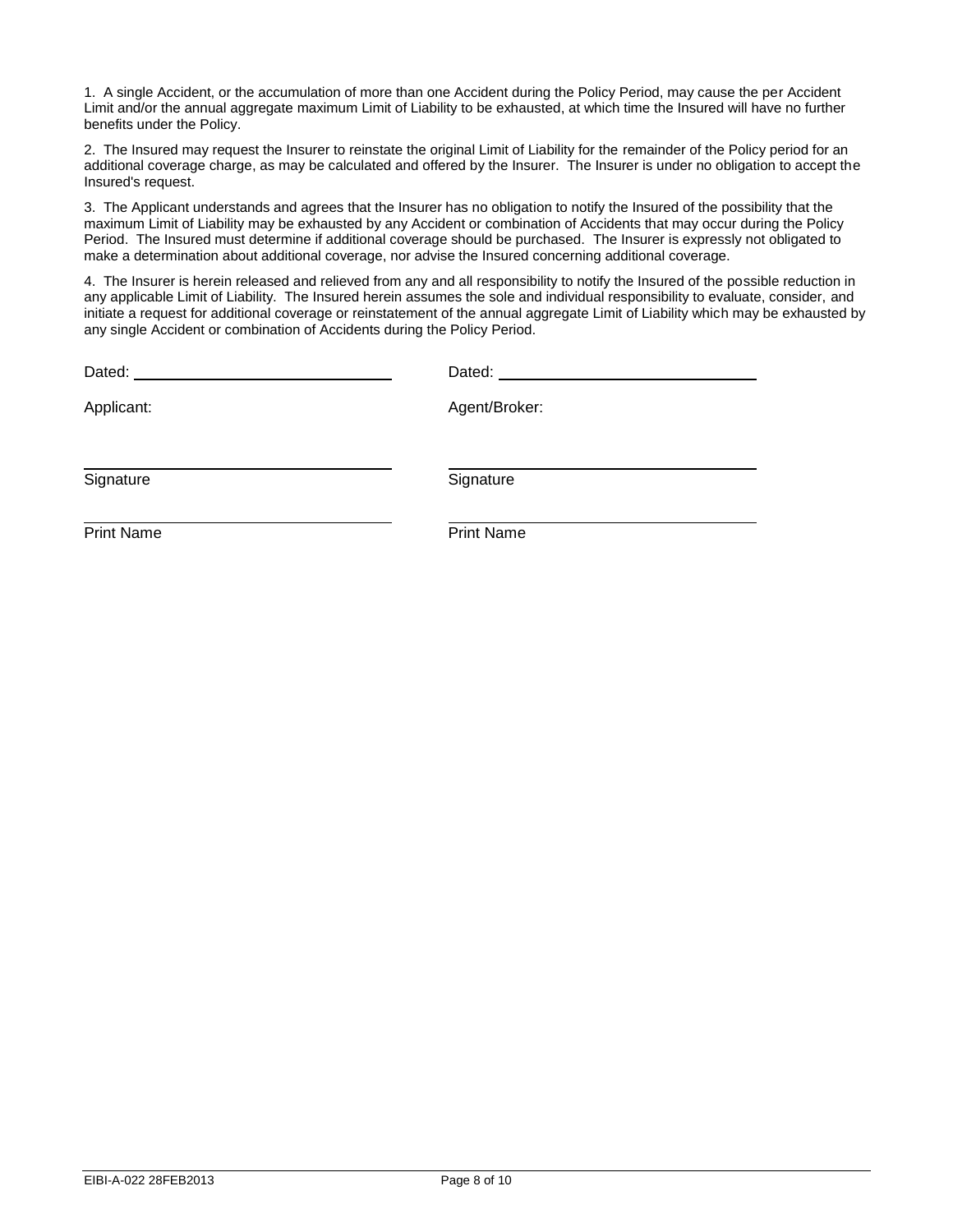1. A single Accident, or the accumulation of more than one Accident during the Policy Period, may cause the per Accident Limit and/or the annual aggregate maximum Limit of Liability to be exhausted, at which time the Insured will have no further benefits under the Policy.

2. The Insured may request the Insurer to reinstate the original Limit of Liability for the remainder of the Policy period for an additional coverage charge, as may be calculated and offered by the Insurer. The Insurer is under no obligation to accept the Insured's request.

3. The Applicant understands and agrees that the Insurer has no obligation to notify the Insured of the possibility that the maximum Limit of Liability may be exhausted by any Accident or combination of Accidents that may occur during the Policy Period. The Insured must determine if additional coverage should be purchased. The Insurer is expressly not obligated to make a determination about additional coverage, nor advise the Insured concerning additional coverage.

4. The Insurer is herein released and relieved from any and all responsibility to notify the Insured of the possible reduction in any applicable Limit of Liability. The Insured herein assumes the sole and individual responsibility to evaluate, consider, and initiate a request for additional coverage or reinstatement of the annual aggregate Limit of Liability which may be exhausted by any single Accident or combination of Accidents during the Policy Period.

| Dated:            | Dated:            |
|-------------------|-------------------|
| Applicant:        | Agent/Broker:     |
| Signature         | Signature         |
| <b>Print Name</b> | <b>Print Name</b> |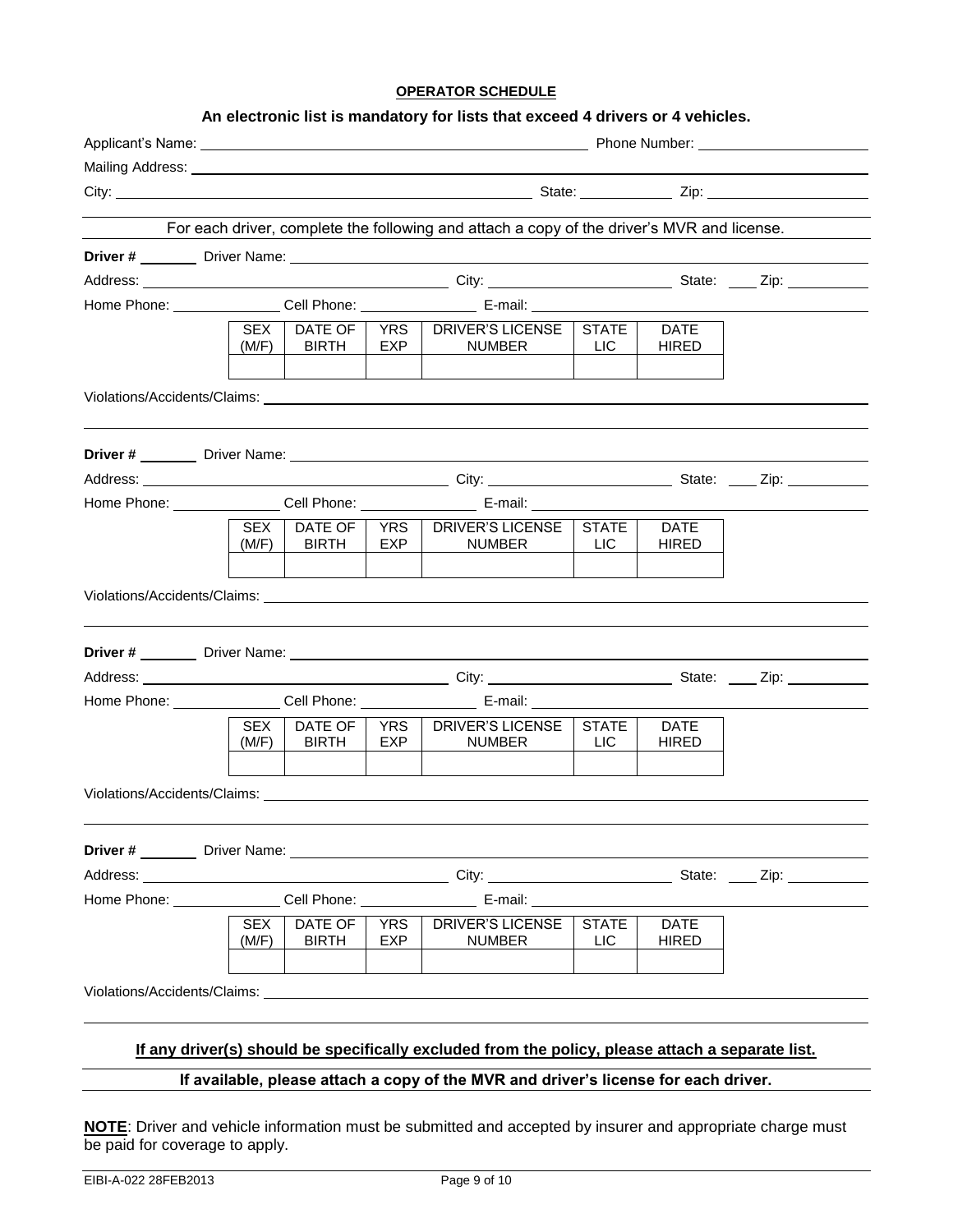#### **OPERATOR SCHEDULE**

#### **An electronic list is mandatory for lists that exceed 4 drivers or 4 vehicles.**

|  |                     |                                |                   | Mailing Address: National Address: National Address: National Address: National Address: National Address: National Address: National Address: National Address: National Address: National Address: National Address: Nationa |                            |                             |  |  |  |
|--|---------------------|--------------------------------|-------------------|--------------------------------------------------------------------------------------------------------------------------------------------------------------------------------------------------------------------------------|----------------------------|-----------------------------|--|--|--|
|  |                     |                                |                   |                                                                                                                                                                                                                                |                            |                             |  |  |  |
|  |                     |                                |                   | For each driver, complete the following and attach a copy of the driver's MVR and license.                                                                                                                                     |                            |                             |  |  |  |
|  |                     |                                |                   |                                                                                                                                                                                                                                |                            |                             |  |  |  |
|  |                     |                                |                   |                                                                                                                                                                                                                                |                            |                             |  |  |  |
|  |                     |                                |                   |                                                                                                                                                                                                                                |                            |                             |  |  |  |
|  | <b>SEX</b><br>(M/F) | DATE OF<br><b>BIRTH</b>        | EXP               | YRS   DRIVER'S LICENSE   STATE<br>NUMBER                                                                                                                                                                                       | <b>LIC</b>                 | <b>DATE</b><br><b>HIRED</b> |  |  |  |
|  |                     |                                |                   | Violations/Accidents/Claims: Letter and the contract of the contract of the contract of the contract of the contract of the contract of the contract of the contract of the contract of the contract of the contract of the co |                            |                             |  |  |  |
|  |                     |                                |                   |                                                                                                                                                                                                                                |                            |                             |  |  |  |
|  |                     |                                |                   |                                                                                                                                                                                                                                |                            |                             |  |  |  |
|  |                     |                                |                   | Home Phone: Cell Phone: E-mail:                                                                                                                                                                                                |                            |                             |  |  |  |
|  | (M/F)               | <b>BIRTH</b>                   | EXP               | SEX   DATE OF   YRS   DRIVER'S LICENSE   STATE<br><b>NUMBER</b>                                                                                                                                                                | <b>LIC</b>                 | <b>DATE</b><br><b>HIRED</b> |  |  |  |
|  |                     |                                |                   |                                                                                                                                                                                                                                |                            |                             |  |  |  |
|  |                     |                                |                   |                                                                                                                                                                                                                                |                            |                             |  |  |  |
|  |                     |                                |                   |                                                                                                                                                                                                                                |                            |                             |  |  |  |
|  | <b>SEX</b><br>(M/F) | DATE OF<br><b>BIRTH</b>        | YRS I<br>EXP      | DRIVER'S LICENSE<br>NUMBER                                                                                                                                                                                                     | <b>STATE</b><br><b>LIC</b> | <b>DATE</b><br><b>HIRED</b> |  |  |  |
|  |                     |                                |                   | Violations/Accidents/Claims: University of the Contract of the Contract of the Contract of the Contract of the                                                                                                                 |                            |                             |  |  |  |
|  |                     |                                |                   | Driver # Driver Name: Driver Name:                                                                                                                                                                                             |                            |                             |  |  |  |
|  |                     |                                |                   |                                                                                                                                                                                                                                |                            |                             |  |  |  |
|  |                     |                                |                   | Home Phone: Cell Phone: E-mail:                                                                                                                                                                                                |                            |                             |  |  |  |
|  | <b>SEX</b><br>(M/F) | <b>DATE OF</b><br><b>BIRTH</b> | <b>YRS</b><br>EXP | <b>DRIVER'S LICENSE</b><br>NUMBER                                                                                                                                                                                              | <b>STATE</b><br><b>LIC</b> | <b>DATE</b><br>HIRED        |  |  |  |
|  |                     |                                |                   | Violations/Accidents/Claims: Williams:                                                                                                                                                                                         |                            |                             |  |  |  |
|  |                     |                                |                   | If any driver(s) should be specifically excluded from the policy, please attach a separate list.                                                                                                                               |                            |                             |  |  |  |
|  |                     |                                |                   | If available, please attach a copy of the MVR and driver's license for each driver.                                                                                                                                            |                            |                             |  |  |  |

**NOTE**: Driver and vehicle information must be submitted and accepted by insurer and appropriate charge must be paid for coverage to apply.